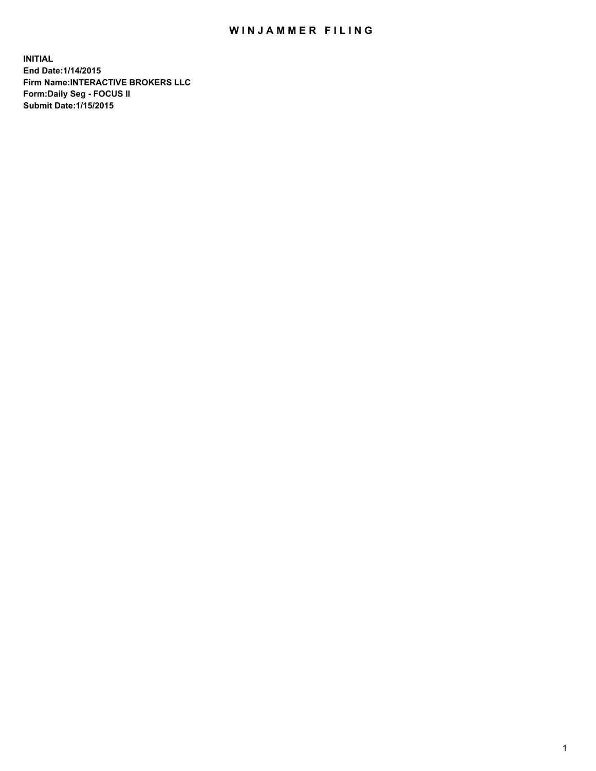## WIN JAMMER FILING

**INITIAL End Date:1/14/2015 Firm Name:INTERACTIVE BROKERS LLC Form:Daily Seg - FOCUS II Submit Date:1/15/2015**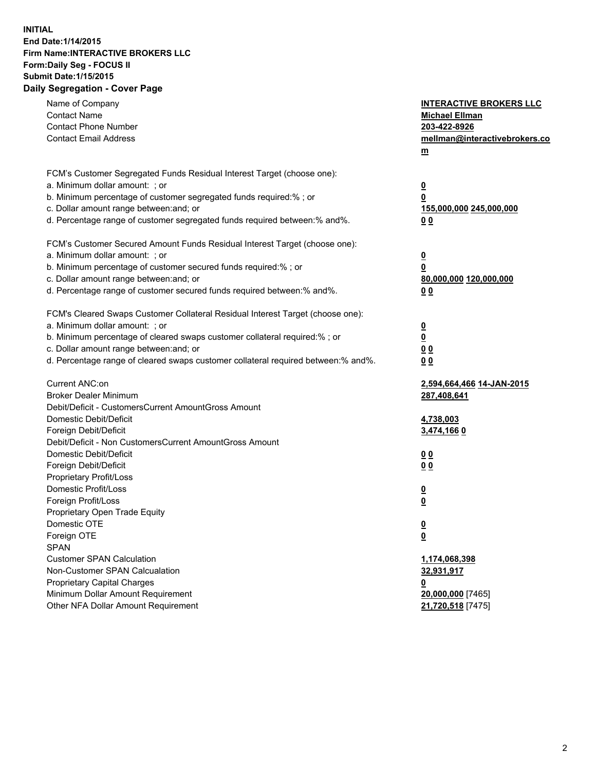## **INITIAL End Date:1/14/2015 Firm Name:INTERACTIVE BROKERS LLC Form:Daily Seg - FOCUS II Submit Date:1/15/2015 Daily Segregation - Cover Page**

| Name of Company                                                                   | <b>INTERACTIVE BROKERS LLC</b> |
|-----------------------------------------------------------------------------------|--------------------------------|
| <b>Contact Name</b>                                                               | <b>Michael Ellman</b>          |
| <b>Contact Phone Number</b>                                                       | 203-422-8926                   |
| <b>Contact Email Address</b>                                                      | mellman@interactivebrokers.co  |
|                                                                                   | $\underline{\mathbf{m}}$       |
| FCM's Customer Segregated Funds Residual Interest Target (choose one):            |                                |
| a. Minimum dollar amount: ; or                                                    | $\overline{\mathbf{0}}$        |
| b. Minimum percentage of customer segregated funds required:% ; or                | 0                              |
| c. Dollar amount range between: and; or                                           | 155,000,000 245,000,000        |
| d. Percentage range of customer segregated funds required between:% and%.         | 00                             |
| FCM's Customer Secured Amount Funds Residual Interest Target (choose one):        |                                |
| a. Minimum dollar amount: ; or                                                    | $\overline{\mathbf{0}}$        |
| b. Minimum percentage of customer secured funds required:% ; or                   | 0                              |
| c. Dollar amount range between: and; or                                           | 80,000,000 120,000,000         |
| d. Percentage range of customer secured funds required between:% and%.            | 00                             |
|                                                                                   |                                |
| FCM's Cleared Swaps Customer Collateral Residual Interest Target (choose one):    |                                |
| a. Minimum dollar amount: ; or                                                    | $\overline{\mathbf{0}}$        |
| b. Minimum percentage of cleared swaps customer collateral required:% ; or        | $\underline{\mathbf{0}}$       |
| c. Dollar amount range between: and; or                                           | 0 <sub>0</sub>                 |
| d. Percentage range of cleared swaps customer collateral required between:% and%. | 0 <sub>0</sub>                 |
| Current ANC:on                                                                    | 2,594,664,466 14-JAN-2015      |
| <b>Broker Dealer Minimum</b>                                                      | 287,408,641                    |
| Debit/Deficit - CustomersCurrent AmountGross Amount                               |                                |
| Domestic Debit/Deficit                                                            | 4,738,003                      |
| Foreign Debit/Deficit                                                             | 3,474,1660                     |
| Debit/Deficit - Non CustomersCurrent AmountGross Amount                           |                                |
| Domestic Debit/Deficit                                                            | 0 <sub>0</sub>                 |
| Foreign Debit/Deficit                                                             | 0 <sub>0</sub>                 |
| Proprietary Profit/Loss                                                           |                                |
| Domestic Profit/Loss                                                              | $\overline{\mathbf{0}}$        |
| Foreign Profit/Loss                                                               | $\underline{\mathbf{0}}$       |
| Proprietary Open Trade Equity                                                     |                                |
| Domestic OTE                                                                      | <u>0</u>                       |
| Foreign OTE                                                                       | <u>0</u>                       |
| <b>SPAN</b>                                                                       |                                |
| <b>Customer SPAN Calculation</b>                                                  | 1,174,068,398                  |
| Non-Customer SPAN Calcualation                                                    | 32,931,917                     |
| Proprietary Capital Charges                                                       | <u>0</u>                       |
| Minimum Dollar Amount Requirement                                                 | 20,000,000 [7465]              |
| Other NFA Dollar Amount Requirement                                               | 21,720,518 [7475]              |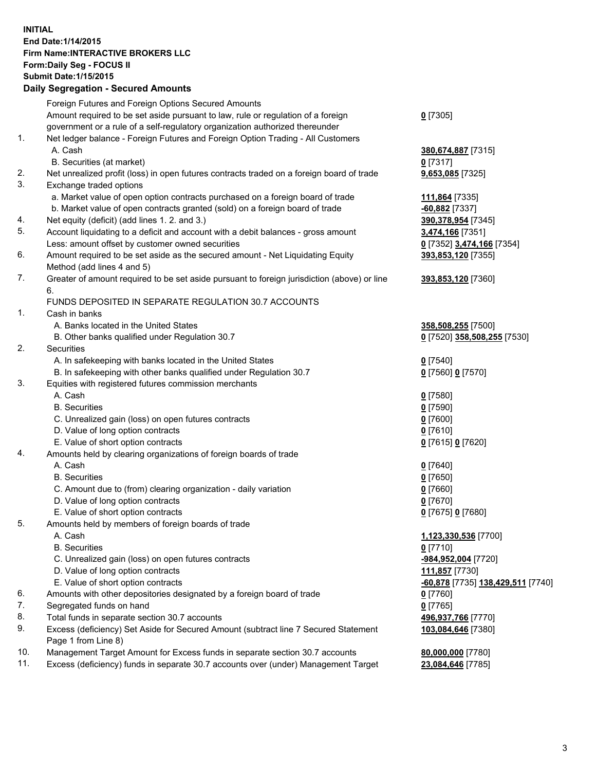## **INITIAL End Date:1/14/2015 Firm Name:INTERACTIVE BROKERS LLC Form:Daily Seg - FOCUS II Submit Date:1/15/2015 Daily Segregation - Secured Amounts**

|                | Daily Jegregation - Jeculed Aniounts                                                        |                                   |
|----------------|---------------------------------------------------------------------------------------------|-----------------------------------|
|                | Foreign Futures and Foreign Options Secured Amounts                                         |                                   |
|                | Amount required to be set aside pursuant to law, rule or regulation of a foreign            | $0$ [7305]                        |
|                | government or a rule of a self-regulatory organization authorized thereunder                |                                   |
| 1.             | Net ledger balance - Foreign Futures and Foreign Option Trading - All Customers             |                                   |
|                | A. Cash                                                                                     | 380,674,887 [7315]                |
|                | B. Securities (at market)                                                                   | 0 [7317]                          |
| 2.             | Net unrealized profit (loss) in open futures contracts traded on a foreign board of trade   | 9,653,085 [7325]                  |
| 3.             | Exchange traded options                                                                     |                                   |
|                | a. Market value of open option contracts purchased on a foreign board of trade              | 111,864 [7335]                    |
|                | b. Market value of open contracts granted (sold) on a foreign board of trade                | -60,882 [7337]                    |
| 4.             | Net equity (deficit) (add lines 1. 2. and 3.)                                               | 390,378,954 [7345]                |
| 5.             | Account liquidating to a deficit and account with a debit balances - gross amount           | 3,474,166 [7351]                  |
|                | Less: amount offset by customer owned securities                                            | 0 [7352] 3,474,166 [7354]         |
| 6.             | Amount required to be set aside as the secured amount - Net Liquidating Equity              | 393,853,120 [7355]                |
|                | Method (add lines 4 and 5)                                                                  |                                   |
| 7.             | Greater of amount required to be set aside pursuant to foreign jurisdiction (above) or line | 393,853,120 [7360]                |
|                | 6.                                                                                          |                                   |
|                | FUNDS DEPOSITED IN SEPARATE REGULATION 30.7 ACCOUNTS                                        |                                   |
| $\mathbf{1}$ . | Cash in banks                                                                               |                                   |
|                | A. Banks located in the United States                                                       | 358,508,255 [7500]                |
|                | B. Other banks qualified under Regulation 30.7                                              | 0 [7520] 358,508,255 [7530]       |
| 2.             | Securities                                                                                  |                                   |
|                | A. In safekeeping with banks located in the United States                                   | $0$ [7540]                        |
|                | B. In safekeeping with other banks qualified under Regulation 30.7                          | 0 [7560] 0 [7570]                 |
| 3.             | Equities with registered futures commission merchants                                       |                                   |
|                | A. Cash                                                                                     | $0$ [7580]                        |
|                | <b>B.</b> Securities                                                                        | $0$ [7590]                        |
|                | C. Unrealized gain (loss) on open futures contracts                                         | $0$ [7600]                        |
|                | D. Value of long option contracts                                                           | $0$ [7610]                        |
|                | E. Value of short option contracts                                                          | 0 [7615] 0 [7620]                 |
| 4.             | Amounts held by clearing organizations of foreign boards of trade                           |                                   |
|                | A. Cash                                                                                     | $0$ [7640]                        |
|                | <b>B.</b> Securities                                                                        | $0$ [7650]                        |
|                | C. Amount due to (from) clearing organization - daily variation                             | $0$ [7660]                        |
|                | D. Value of long option contracts                                                           | $0$ [7670]                        |
|                | E. Value of short option contracts                                                          | 0 [7675] 0 [7680]                 |
| 5.             | Amounts held by members of foreign boards of trade                                          |                                   |
|                | A. Cash                                                                                     | 1,123,330,536 [7700]              |
|                | <b>B.</b> Securities                                                                        | $0$ [7710]                        |
|                | C. Unrealized gain (loss) on open futures contracts                                         | -984,952,004 [7720]               |
|                | D. Value of long option contracts                                                           | 111,857 [7730]                    |
|                | E. Value of short option contracts                                                          | -60,878 [7735] 138,429,511 [7740] |
| 6.             | Amounts with other depositories designated by a foreign board of trade                      | $0$ [7760]                        |
| 7.             | Segregated funds on hand                                                                    | $0$ [7765]                        |
| 8.             | Total funds in separate section 30.7 accounts                                               | 496,937,766 [7770]                |
| 9.             | Excess (deficiency) Set Aside for Secured Amount (subtract line 7 Secured Statement         | 103,084,646 [7380]                |
|                | Page 1 from Line 8)                                                                         |                                   |
| 10.            | Management Target Amount for Excess funds in separate section 30.7 accounts                 | 80,000,000 [7780]                 |
| 11.            | Excess (deficiency) funds in separate 30.7 accounts over (under) Management Target          | 23,084,646 [7785]                 |
|                |                                                                                             |                                   |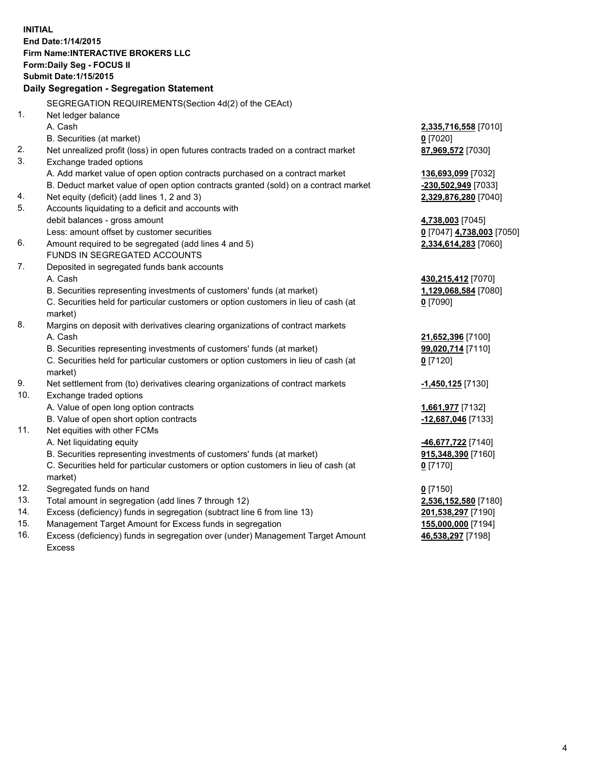**INITIAL End Date:1/14/2015 Firm Name:INTERACTIVE BROKERS LLC Form:Daily Seg - FOCUS II Submit Date:1/15/2015 Daily Segregation - Segregation Statement** SEGREGATION REQUIREMENTS(Section 4d(2) of the CEAct) 1. Net ledger balance A. Cash **2,335,716,558** [7010] B. Securities (at market) **0** [7020] 2. Net unrealized profit (loss) in open futures contracts traded on a contract market **87,969,572** [7030] 3. Exchange traded options A. Add market value of open option contracts purchased on a contract market **136,693,099** [7032] B. Deduct market value of open option contracts granted (sold) on a contract market **-230,502,949** [7033] 4. Net equity (deficit) (add lines 1, 2 and 3) **2,329,876,280** [7040] 5. Accounts liquidating to a deficit and accounts with debit balances - gross amount **4,738,003** [7045] Less: amount offset by customer securities **0** [7047] **4,738,003** [7050] 6. Amount required to be segregated (add lines 4 and 5) **2,334,614,283** [7060] FUNDS IN SEGREGATED ACCOUNTS 7. Deposited in segregated funds bank accounts A. Cash **430,215,412** [7070] B. Securities representing investments of customers' funds (at market) **1,129,068,584** [7080] C. Securities held for particular customers or option customers in lieu of cash (at market) **0** [7090] 8. Margins on deposit with derivatives clearing organizations of contract markets A. Cash **21,652,396** [7100] B. Securities representing investments of customers' funds (at market) **99,020,714** [7110] C. Securities held for particular customers or option customers in lieu of cash (at market) **0** [7120] 9. Net settlement from (to) derivatives clearing organizations of contract markets **-1,450,125** [7130] 10. Exchange traded options A. Value of open long option contracts **1,661,977** [7132] B. Value of open short option contracts **-12,687,046** [7133] 11. Net equities with other FCMs A. Net liquidating equity **-46,677,722** [7140] B. Securities representing investments of customers' funds (at market) **915,348,390** [7160] C. Securities held for particular customers or option customers in lieu of cash (at market) **0** [7170] 12. Segregated funds on hand **0** [7150] 13. Total amount in segregation (add lines 7 through 12) **2,536,152,580** [7180] 14. Excess (deficiency) funds in segregation (subtract line 6 from line 13) **201,538,297** [7190] 15. Management Target Amount for Excess funds in segregation **155,000,000** [7194]

16. Excess (deficiency) funds in segregation over (under) Management Target Amount Excess

**46,538,297** [7198]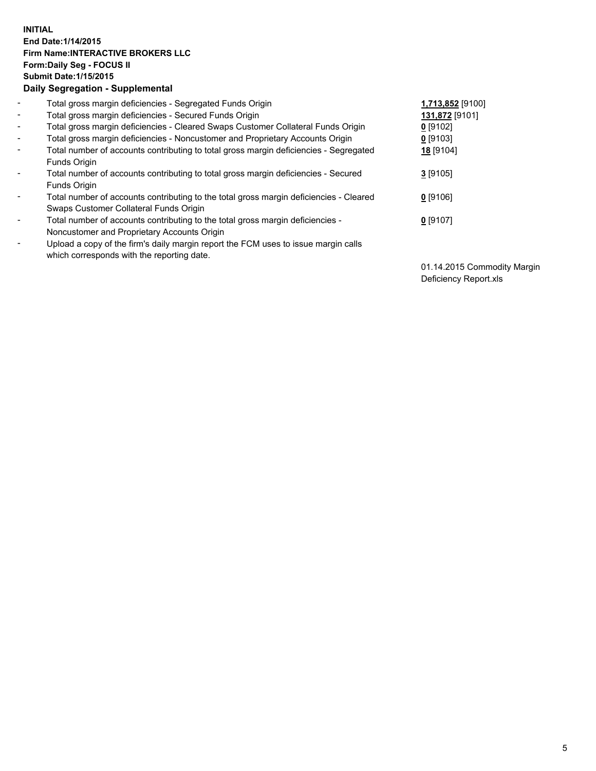## **INITIAL End Date:1/14/2015 Firm Name:INTERACTIVE BROKERS LLC Form:Daily Seg - FOCUS II Submit Date:1/15/2015 Daily Segregation - Supplemental**

| $\blacksquare$ | Total gross margin deficiencies - Segregated Funds Origin                              | 1,713,852 [9100] |  |
|----------------|----------------------------------------------------------------------------------------|------------------|--|
| $\sim$         | Total gross margin deficiencies - Secured Funds Origin                                 | 131,872 [9101]   |  |
| $\blacksquare$ | Total gross margin deficiencies - Cleared Swaps Customer Collateral Funds Origin       | $0$ [9102]       |  |
| $\blacksquare$ | Total gross margin deficiencies - Noncustomer and Proprietary Accounts Origin          | 0 [9103]         |  |
| $\blacksquare$ | Total number of accounts contributing to total gross margin deficiencies - Segregated  | 18 [9104]        |  |
|                | Funds Origin                                                                           |                  |  |
| $\blacksquare$ | Total number of accounts contributing to total gross margin deficiencies - Secured     | $3$ [9105]       |  |
|                | Funds Origin                                                                           |                  |  |
|                | Total number of accounts contributing to the total gross margin deficiencies - Cleared | $0$ [9106]       |  |
|                | Swaps Customer Collateral Funds Origin                                                 |                  |  |
| $\blacksquare$ | Total number of accounts contributing to the total gross margin deficiencies -         | 0 [9107]         |  |
|                | Noncustomer and Proprietary Accounts Origin                                            |                  |  |
| $\blacksquare$ | Upload a copy of the firm's daily margin report the FCM uses to issue margin calls     |                  |  |
|                | which corresponds with the reporting date.                                             |                  |  |

01.14.2015 Commodity Margin Deficiency Report.xls